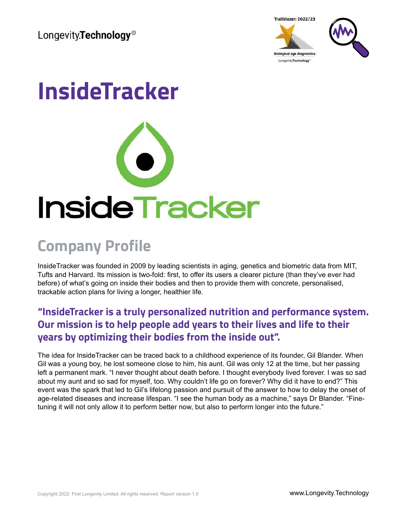Longevity.Technology<sup>®</sup>





# **InsideTracker**



#### **Company Profile**

InsideTracker was founded in 2009 by leading scientists in aging, genetics and biometric data from MIT, Tufts and Harvard. Its mission is two-fold: first, to offer its users a clearer picture (than they've ever had before) of what's going on inside their bodies and then to provide them with concrete, personalised, trackable action plans for living a longer, healthier life.

#### **"InsideTracker is a truly personalized nutrition and performance system. Our mission is to help people add years to their lives and life to their years by optimizing their bodies from the inside out".**

The idea for InsideTracker can be traced back to a childhood experience of its founder, Gil Blander. When Gil was a young boy, he lost someone close to him, his aunt. Gil was only 12 at the time, but her passing left a permanent mark. "I never thought about death before. I thought everybody lived forever. I was so sad about my aunt and so sad for myself, too. Why couldn't life go on forever? Why did it have to end?" This event was the spark that led to Gil's lifelong passion and pursuit of the answer to how to delay the onset of age-related diseases and increase lifespan. "I see the human body as a machine," says Dr Blander. "Finetuning it will not only allow it to perform better now, but also to perform longer into the future."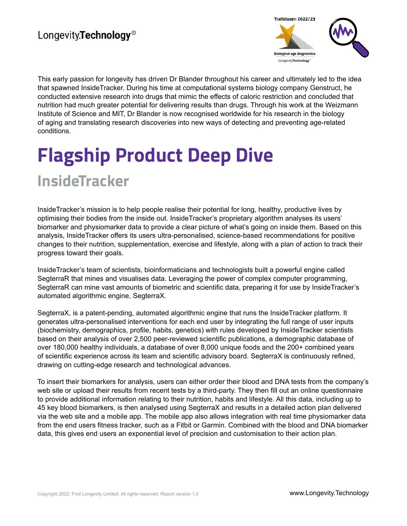#### Longevity.Technology<sup>®</sup>



This early passion for longevity has driven Dr Blander throughout his career and ultimately led to the idea that spawned InsideTracker. During his time at computational systems biology company Genstruct, he conducted extensive research into drugs that mimic the effects of caloric restriction and concluded that nutrition had much greater potential for delivering results than drugs. Through his work at the Weizmann Institute of Science and MIT, Dr Blander is now recognised worldwide for his research in the biology of aging and translating research discoveries into new ways of detecting and preventing age-related conditions.

## **Flagship Product Deep Dive InsideTracker**

InsideTracker's mission is to help people realise their potential for long, healthy, productive lives by optimising their bodies from the inside out. InsideTracker's proprietary algorithm analyses its users' biomarker and physiomarker data to provide a clear picture of what's going on inside them. Based on this analysis, InsideTracker offers its users ultra-personalised, science-based recommendations for positive changes to their nutrition, supplementation, exercise and lifestyle, along with a plan of action to track their progress toward their goals.

InsideTracker's team of scientists, bioinformaticians and technologists built a powerful engine called SegterraR that mines and visualises data. Leveraging the power of complex computer programming, SegterraR can mine vast amounts of biometric and scientific data, preparing it for use by InsideTracker's automated algorithmic engine, SegterraX.

SegterraX, is a patent-pending, automated algorithmic engine that runs the InsideTracker platform. It generates ultra-personalised interventions for each end user by integrating the full range of user inputs (biochemistry, demographics, profile, habits, genetics) with rules developed by InsideTracker scientists based on their analysis of over 2,500 peer-reviewed scientific publications, a demographic database of over 180,000 healthy individuals, a database of over 8,000 unique foods and the 200+ combined years of scientific experience across its team and scientific advisory board. SegterraX is continuously refined, drawing on cutting-edge research and technological advances.

To insert their biomarkers for analysis, users can either order their blood and DNA tests from the company's web site or upload their results from recent tests by a third-party. They then fill out an online questionnaire to provide additional information relating to their nutrition, habits and lifestyle. All this data, including up to 45 key blood biomarkers, is then analysed using SegterraX and results in a detailed action plan delivered via the web site and a mobile app. The mobile app also allows integration with real time physiomarker data from the end users fitness tracker, such as a Fitbit or Garmin. Combined with the blood and DNA biomarker data, this gives end users an exponential level of precision and customisation to their action plan.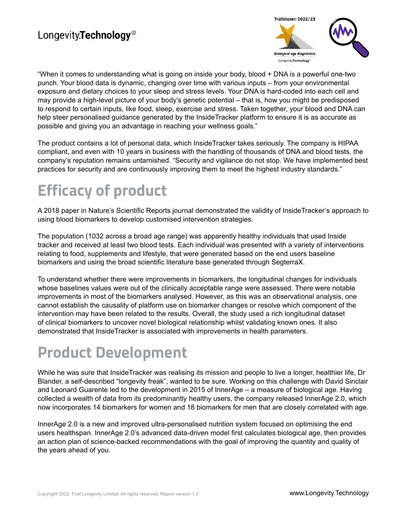

"When it comes to understanding what is going on inside your body, blood + DNA is a powerful one-two punch. Your blood data is dynamic, changing over time with various inputs – from your environmental exposure and dietary choices to your sleep and stress levels. Your DNA is hard-coded into each cell and may provide a high-level picture of your body's genetic potential – that is, how you might be predisposed to respond to certain inputs, like food, sleep, exercise and stress. Taken together, your blood and DNA can help steer personalised guidance generated by the InsideTracker platform to ensure it is as accurate as possible and giving you an advantage in reaching your wellness goals."

The product contains a lot of personal data, which InsideTracker takes seriously. The company is HIPAA compliant, and even with 10 years in business with the handling of thousands of DNA and blood tests, the company's reputation remains untarnished. "Security and vigilance do not stop. We have implemented best practices for security and are continuously improving them to meet the highest industry standards."

### **Efficacy of product**

A 2018 paper in Nature's Scientific Reports journal demonstrated the validity of InsideTracker's approach to using blood biomarkers to develop customised intervention strategies.

The population (1032 across a broad age range) was apparently healthy individuals that used Inside tracker and received at least two blood tests. Each individual was presented with a variety of interventions relating to food, supplements and lifestyle, that were generated based on the end users baseline biomarkers and using the broad scientific literature base generated through SegterraX.

To understand whether there were improvements in biomarkers, the longitudinal changes for individuals whose baselines values were out of the clinically acceptable range were assessed. There were notable improvements in most of the biomarkers analysed. However, as this was an observational analysis, one cannot establish the causality of platform use on biomarker changes or resolve which component of the intervention may have been related to the results. Overall, the study used a rich longitudinal dataset of clinical biomarkers to uncover novel biological relationship whilst validating known ones. It also demonstrated that InsideTracker is associated with improvements in health parameters.

### **Product Development**

While he was sure that InsideTracker was realising its mission and people to live a longer, healthier life, Dr Blander, a self-described "longevity freak", wanted to be sure. Working on this challenge with David Sinclair and Leonard Guarente led to the development in 2015 of InnerAge – a measure of biological age. Having collected a wealth of data from its predominantly healthy users, the company released InnerAge 2.0, which now incorporates 14 biomarkers for women and 18 biomarkers for men that are closely correlated with age.

InnerAge 2.0 is a new and improved ultra-personalised nutrition system focused on optimising the end users healthspan. InnerAge 2.0's advanced data-driven model first calculates biological age, then provides an action plan of science-backed recommendations with the goal of improving the quantity and quality of the years ahead of you.